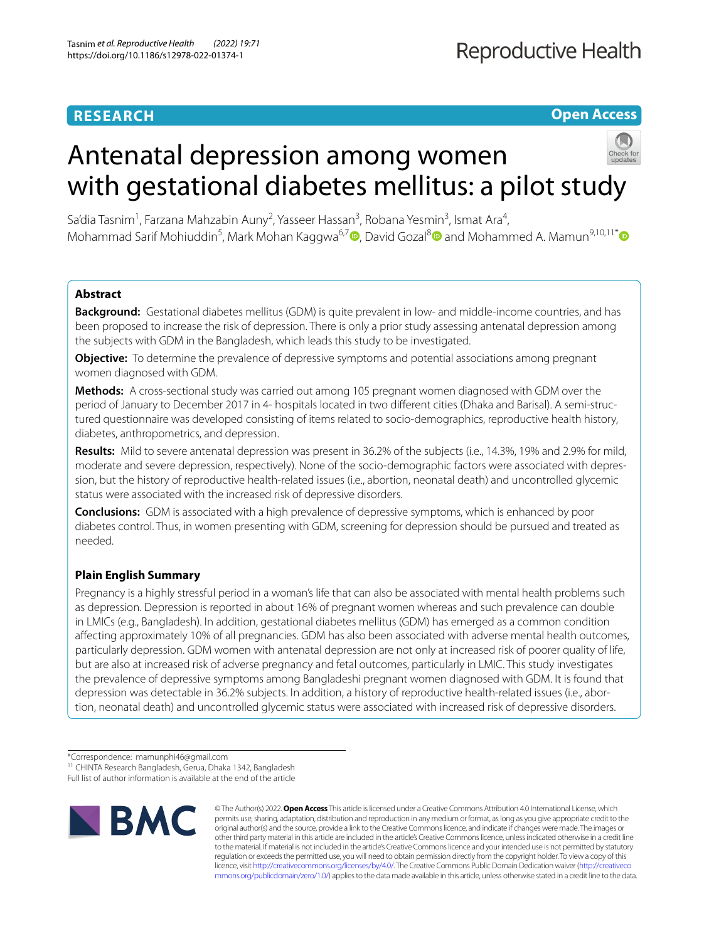## **RESEARCH**

**Open Access**

# Antenatal depression among women with gestational diabetes mellitus: a pilot study

Sa'dia Tasnim<sup>1</sup>, Farzana Mahzabin Auny<sup>2</sup>, Yasseer Hassan<sup>3</sup>, Robana Yesmin<sup>3</sup>, Ismat Ara<sup>4</sup>, Mohammad Sarif Mohiuddin<sup>5</sup>[,](http://orcid.org/0000-0002-4733-154X) Mark Mohan Kaggwa<sup>6,7</sup> . David Gozal<sup>[8](https://orcid.org/0000-0001-8195-6036)</sup> and Mohammed A. Mamun<sup>9,10,11[\\*](https://orcid.org/0000-0002-1728-8966)</sup>

## **Abstract**

**Background:** Gestational diabetes mellitus (GDM) is quite prevalent in low- and middle-income countries, and has been proposed to increase the risk of depression. There is only a prior study assessing antenatal depression among the subjects with GDM in the Bangladesh, which leads this study to be investigated.

**Objective:** To determine the prevalence of depressive symptoms and potential associations among pregnant women diagnosed with GDM.

**Methods:** A cross-sectional study was carried out among 105 pregnant women diagnosed with GDM over the period of January to December 2017 in 4- hospitals located in two diferent cities (Dhaka and Barisal). A semi-structured questionnaire was developed consisting of items related to socio-demographics, reproductive health history, diabetes, anthropometrics, and depression.

**Results:** Mild to severe antenatal depression was present in 36.2% of the subjects (i.e., 14.3%, 19% and 2.9% for mild, moderate and severe depression, respectively). None of the socio-demographic factors were associated with depression, but the history of reproductive health-related issues (i.e., abortion, neonatal death) and uncontrolled glycemic status were associated with the increased risk of depressive disorders.

**Conclusions:** GDM is associated with a high prevalence of depressive symptoms, which is enhanced by poor diabetes control. Thus, in women presenting with GDM, screening for depression should be pursued and treated as needed.

## **Plain English Summary**

Pregnancy is a highly stressful period in a woman's life that can also be associated with mental health problems such as depression. Depression is reported in about 16% of pregnant women whereas and such prevalence can double in LMICs (e.g., Bangladesh). In addition, gestational diabetes mellitus (GDM) has emerged as a common condition afecting approximately 10% of all pregnancies. GDM has also been associated with adverse mental health outcomes, particularly depression. GDM women with antenatal depression are not only at increased risk of poorer quality of life, but are also at increased risk of adverse pregnancy and fetal outcomes, particularly in LMIC. This study investigates the prevalence of depressive symptoms among Bangladeshi pregnant women diagnosed with GDM. It is found that depression was detectable in 36.2% subjects. In addition, a history of reproductive health-related issues (i.e., abortion, neonatal death) and uncontrolled glycemic status were associated with increased risk of depressive disorders.

\*Correspondence: mamunphi46@gmail.com

Full list of author information is available at the end of the article



© The Author(s) 2022. **Open Access** This article is licensed under a Creative Commons Attribution 4.0 International License, which permits use, sharing, adaptation, distribution and reproduction in any medium or format, as long as you give appropriate credit to the original author(s) and the source, provide a link to the Creative Commons licence, and indicate if changes were made. The images or other third party material in this article are included in the article's Creative Commons licence, unless indicated otherwise in a credit line to the material. If material is not included in the article's Creative Commons licence and your intended use is not permitted by statutory regulation or exceeds the permitted use, you will need to obtain permission directly from the copyright holder. To view a copy of this licence, visit [http://creativecommons.org/licenses/by/4.0/.](http://creativecommons.org/licenses/by/4.0/) The Creative Commons Public Domain Dedication waiver ([http://creativeco](http://creativecommons.org/publicdomain/zero/1.0/) [mmons.org/publicdomain/zero/1.0/](http://creativecommons.org/publicdomain/zero/1.0/)) applies to the data made available in this article, unless otherwise stated in a credit line to the data.

<sup>11</sup> CHINTA Research Bangladesh, Gerua, Dhaka 1342, Bangladesh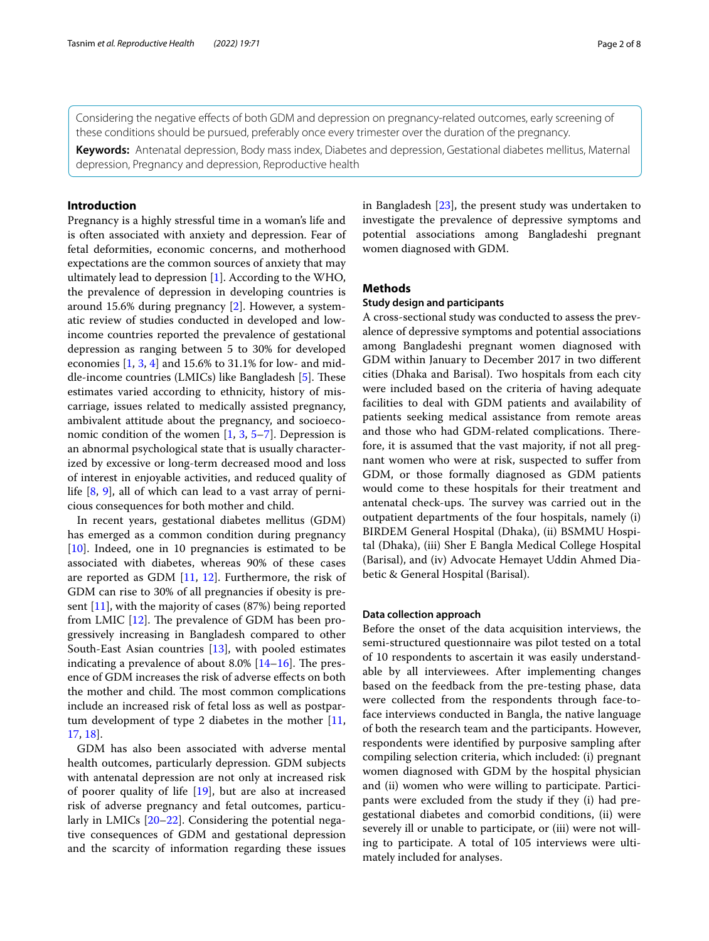Considering the negative efects of both GDM and depression on pregnancy-related outcomes, early screening of these conditions should be pursued, preferably once every trimester over the duration of the pregnancy.

**Keywords:** Antenatal depression, Body mass index, Diabetes and depression, Gestational diabetes mellitus, Maternal depression, Pregnancy and depression, Reproductive health

#### **Introduction**

Pregnancy is a highly stressful time in a woman's life and is often associated with anxiety and depression. Fear of fetal deformities, economic concerns, and motherhood expectations are the common sources of anxiety that may ultimately lead to depression [[1](#page-6-0)]. According to the WHO, the prevalence of depression in developing countries is around 15.6% during pregnancy [[2\]](#page-6-1). However, a systematic review of studies conducted in developed and lowincome countries reported the prevalence of gestational depression as ranging between 5 to 30% for developed economies  $[1, 3, 4]$  $[1, 3, 4]$  $[1, 3, 4]$  $[1, 3, 4]$  $[1, 3, 4]$  and 15.6% to 31.1% for low- and middle-income countries (LMICs) like Bangladesh  $[5]$  $[5]$ . These estimates varied according to ethnicity, history of miscarriage, issues related to medically assisted pregnancy, ambivalent attitude about the pregnancy, and socioeconomic condition of the women  $[1, 3, 5-7]$  $[1, 3, 5-7]$  $[1, 3, 5-7]$  $[1, 3, 5-7]$  $[1, 3, 5-7]$  $[1, 3, 5-7]$ . Depression is an abnormal psychological state that is usually characterized by excessive or long-term decreased mood and loss of interest in enjoyable activities, and reduced quality of life [[8,](#page-6-6) [9](#page-6-7)], all of which can lead to a vast array of pernicious consequences for both mother and child.

In recent years, gestational diabetes mellitus (GDM) has emerged as a common condition during pregnancy [[10\]](#page-6-8). Indeed, one in 10 pregnancies is estimated to be associated with diabetes, whereas 90% of these cases are reported as GDM [\[11](#page-6-9), [12\]](#page-6-10). Furthermore, the risk of GDM can rise to 30% of all pregnancies if obesity is present [\[11](#page-6-9)], with the majority of cases (87%) being reported from LMIC  $[12]$ . The prevalence of GDM has been progressively increasing in Bangladesh compared to other South-East Asian countries [[13](#page-6-11)], with pooled estimates indicating a prevalence of about 8.0%  $[14–16]$  $[14–16]$ . The presence of GDM increases the risk of adverse efects on both the mother and child. The most common complications include an increased risk of fetal loss as well as postpartum development of type 2 diabetes in the mother [\[11](#page-6-9), [17,](#page-7-1) [18\]](#page-7-2).

GDM has also been associated with adverse mental health outcomes, particularly depression. GDM subjects with antenatal depression are not only at increased risk of poorer quality of life [\[19](#page-7-3)], but are also at increased risk of adverse pregnancy and fetal outcomes, particularly in LMICs [\[20–](#page-7-4)[22\]](#page-7-5). Considering the potential negative consequences of GDM and gestational depression and the scarcity of information regarding these issues in Bangladesh [[23\]](#page-7-6), the present study was undertaken to investigate the prevalence of depressive symptoms and potential associations among Bangladeshi pregnant women diagnosed with GDM.

## **Methods**

#### **Study design and participants**

A cross-sectional study was conducted to assess the prevalence of depressive symptoms and potential associations among Bangladeshi pregnant women diagnosed with GDM within January to December 2017 in two diferent cities (Dhaka and Barisal). Two hospitals from each city were included based on the criteria of having adequate facilities to deal with GDM patients and availability of patients seeking medical assistance from remote areas and those who had GDM-related complications. Therefore, it is assumed that the vast majority, if not all pregnant women who were at risk, suspected to sufer from GDM, or those formally diagnosed as GDM patients would come to these hospitals for their treatment and antenatal check-ups. The survey was carried out in the outpatient departments of the four hospitals, namely (i) BIRDEM General Hospital (Dhaka), (ii) BSMMU Hospital (Dhaka), (iii) Sher E Bangla Medical College Hospital (Barisal), and (iv) Advocate Hemayet Uddin Ahmed Diabetic & General Hospital (Barisal).

## **Data collection approach**

Before the onset of the data acquisition interviews, the semi-structured questionnaire was pilot tested on a total of 10 respondents to ascertain it was easily understandable by all interviewees. After implementing changes based on the feedback from the pre-testing phase, data were collected from the respondents through face-toface interviews conducted in Bangla, the native language of both the research team and the participants. However, respondents were identifed by purposive sampling after compiling selection criteria, which included: (i) pregnant women diagnosed with GDM by the hospital physician and (ii) women who were willing to participate. Participants were excluded from the study if they (i) had pregestational diabetes and comorbid conditions, (ii) were severely ill or unable to participate, or (iii) were not willing to participate. A total of 105 interviews were ultimately included for analyses.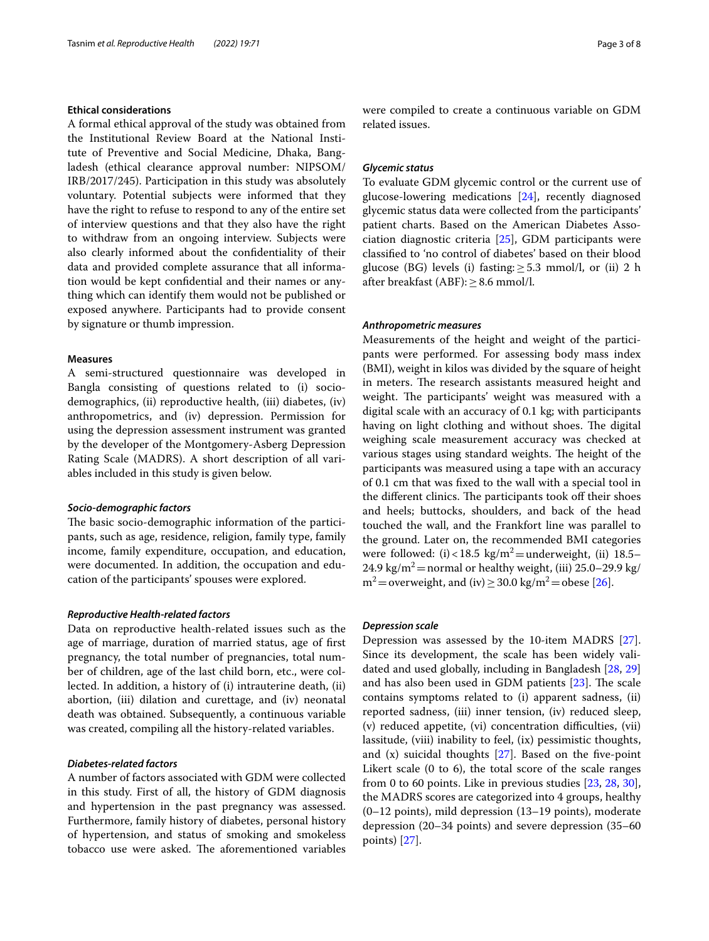## **Ethical considerations**

A formal ethical approval of the study was obtained from the Institutional Review Board at the National Institute of Preventive and Social Medicine, Dhaka, Bangladesh (ethical clearance approval number: NIPSOM/ IRB/2017/245). Participation in this study was absolutely voluntary. Potential subjects were informed that they have the right to refuse to respond to any of the entire set of interview questions and that they also have the right to withdraw from an ongoing interview. Subjects were also clearly informed about the confdentiality of their data and provided complete assurance that all information would be kept confdential and their names or anything which can identify them would not be published or exposed anywhere. Participants had to provide consent by signature or thumb impression.

#### **Measures**

A semi-structured questionnaire was developed in Bangla consisting of questions related to (i) sociodemographics, (ii) reproductive health, (iii) diabetes, (iv) anthropometrics, and (iv) depression. Permission for using the depression assessment instrument was granted by the developer of the Montgomery-Asberg Depression Rating Scale (MADRS). A short description of all variables included in this study is given below.

#### *Socio‑demographic factors*

The basic socio-demographic information of the participants, such as age, residence, religion, family type, family income, family expenditure, occupation, and education, were documented. In addition, the occupation and education of the participants' spouses were explored.

## *Reproductive Health‑related factors*

Data on reproductive health-related issues such as the age of marriage, duration of married status, age of frst pregnancy, the total number of pregnancies, total number of children, age of the last child born, etc., were collected. In addition, a history of (i) intrauterine death, (ii) abortion, (iii) dilation and curettage, and (iv) neonatal death was obtained. Subsequently, a continuous variable was created, compiling all the history-related variables.

## *Diabetes‑related factors*

A number of factors associated with GDM were collected in this study. First of all, the history of GDM diagnosis and hypertension in the past pregnancy was assessed. Furthermore, family history of diabetes, personal history of hypertension, and status of smoking and smokeless tobacco use were asked. The aforementioned variables were compiled to create a continuous variable on GDM related issues.

#### *Glycemic status*

To evaluate GDM glycemic control or the current use of glucose-lowering medications [\[24](#page-7-7)], recently diagnosed glycemic status data were collected from the participants' patient charts. Based on the American Diabetes Association diagnostic criteria [\[25](#page-7-8)], GDM participants were classifed to 'no control of diabetes' based on their blood glucose (BG) levels (i) fasting:≥5.3 mmol/l, or (ii) 2 h after breakfast (ABF):  $\geq$  8.6 mmol/l.

#### *Anthropometric measures*

Measurements of the height and weight of the participants were performed. For assessing body mass index (BMI), weight in kilos was divided by the square of height in meters. The research assistants measured height and weight. The participants' weight was measured with a digital scale with an accuracy of 0.1 kg; with participants having on light clothing and without shoes. The digital weighing scale measurement accuracy was checked at various stages using standard weights. The height of the participants was measured using a tape with an accuracy of 0.1 cm that was fxed to the wall with a special tool in the different clinics. The participants took off their shoes and heels; buttocks, shoulders, and back of the head touched the wall, and the Frankfort line was parallel to the ground. Later on, the recommended BMI categories were followed: (i) < 18.5  $\text{kg/m}^2$  = underweight, (ii) 18.5– 24.9 kg/m<sup>2</sup> = normal or healthy weight, (iii) 25.0–29.9 kg/  $m^2$ = overweight, and (iv)  $\geq$  30.0 kg/m<sup>2</sup> = obese [[26\]](#page-7-9).

#### *Depression scale*

Depression was assessed by the 10-item MADRS [\[27](#page-7-10)]. Since its development, the scale has been widely validated and used globally, including in Bangladesh [[28,](#page-7-11) [29](#page-7-12)] and has also been used in GDM patients  $[23]$  $[23]$ . The scale contains symptoms related to (i) apparent sadness, (ii) reported sadness, (iii) inner tension, (iv) reduced sleep, (v) reduced appetite, (vi) concentration difficulties, (vii) lassitude, (viii) inability to feel, (ix) pessimistic thoughts, and  $(x)$  suicidal thoughts  $[27]$  $[27]$  $[27]$ . Based on the five-point Likert scale (0 to 6), the total score of the scale ranges from 0 to 60 points. Like in previous studies [[23](#page-7-6), [28](#page-7-11), [30](#page-7-13)], the MADRS scores are categorized into 4 groups, healthy (0–12 points), mild depression (13–19 points), moderate depression (20–34 points) and severe depression (35–60 points) [\[27\]](#page-7-10).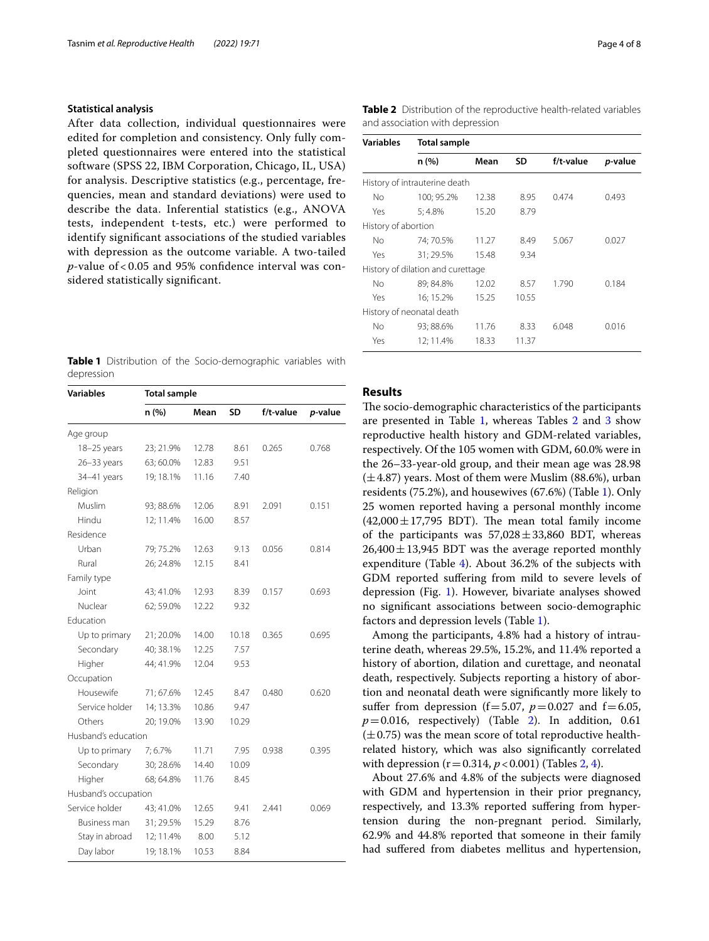#### **Statistical analysis**

After data collection, individual questionnaires were edited for completion and consistency. Only fully completed questionnaires were entered into the statistical software (SPSS 22, IBM Corporation, Chicago, IL, USA) for analysis. Descriptive statistics (e.g., percentage, frequencies, mean and standard deviations) were used to describe the data. Inferential statistics (e.g., ANOVA tests, independent t-tests, etc.) were performed to identify signifcant associations of the studied variables with depression as the outcome variable. A two-tailed *p*-value of < 0.05 and 95% confdence interval was considered statistically signifcant.

<span id="page-3-0"></span>

|            |  | Table 1 Distribution of the Socio-demographic variables with |  |
|------------|--|--------------------------------------------------------------|--|
| depression |  |                                                              |  |

| <b>Variables</b>     | <b>Total sample</b> |       |           |           |         |  |  |
|----------------------|---------------------|-------|-----------|-----------|---------|--|--|
|                      | n (%)               | Mean  | <b>SD</b> | f/t-value | p-value |  |  |
| Age group            |                     |       |           |           |         |  |  |
| 18-25 years          | 23; 21.9%           | 12.78 | 8.61      | 0.265     | 0.768   |  |  |
| 26-33 years          | 63; 60.0%           | 12.83 | 9.51      |           |         |  |  |
| 34-41 years          | 19; 18.1%           | 11.16 | 7.40      |           |         |  |  |
| Religion             |                     |       |           |           |         |  |  |
| Muslim               | 93; 88.6%           | 12.06 | 8.91      | 2.091     | 0.151   |  |  |
| Hindu                | 12; 11.4%           | 16.00 | 8.57      |           |         |  |  |
| Residence            |                     |       |           |           |         |  |  |
| Urban                | 79; 75.2%           | 12.63 | 9.13      | 0.056     | 0.814   |  |  |
| Rural                | 26; 24.8%           | 12.15 | 8.41      |           |         |  |  |
| Family type          |                     |       |           |           |         |  |  |
| Joint                | 43; 41.0%           | 12.93 | 8.39      | 0.157     | 0.693   |  |  |
| Nuclear              | 62; 59.0%           | 12.22 | 9.32      |           |         |  |  |
| Education            |                     |       |           |           |         |  |  |
| Up to primary        | 21; 20.0%           | 14.00 | 10.18     | 0.365     | 0.695   |  |  |
| Secondary            | 40; 38.1%           | 12.25 | 7.57      |           |         |  |  |
| Higher               | 44; 41.9%           | 12.04 | 9.53      |           |         |  |  |
| Occupation           |                     |       |           |           |         |  |  |
| Housewife            | 71; 67.6%           | 12.45 | 8.47      | 0.480     | 0.620   |  |  |
| Service holder       | 14; 13.3%           | 10.86 | 9.47      |           |         |  |  |
| Others               | 20; 19.0%           | 13.90 | 10.29     |           |         |  |  |
| Husband's education  |                     |       |           |           |         |  |  |
| Up to primary        | 7; 6.7%             | 11.71 | 7.95      | 0.938     | 0.395   |  |  |
| Secondary            | 30; 28.6%           | 14.40 | 10.09     |           |         |  |  |
| Higher               | 68; 64.8%           | 11.76 | 8.45      |           |         |  |  |
| Husband's occupation |                     |       |           |           |         |  |  |
| Service holder       | 43; 41.0%           | 12.65 | 9.41      | 2.441     | 0.069   |  |  |
| Business man         | 31; 29.5%           | 15.29 | 8.76      |           |         |  |  |
| Stay in abroad       | 12; 11.4%           | 8.00  | 5.12      |           |         |  |  |
| Day labor            | 19; 18.1%           | 10.53 | 8.84      |           |         |  |  |

<span id="page-3-1"></span>**Table 2** Distribution of the reproductive health-related variables and association with depression

| <b>Variables</b>          | <b>Total sample</b>               |       |       |           |                 |
|---------------------------|-----------------------------------|-------|-------|-----------|-----------------|
|                           | n (%)                             | Mean  | SD    | f/t-value | <i>p</i> -value |
|                           | History of intrauterine death     |       |       |           |                 |
| No                        | 100; 95.2%                        | 12.38 | 8.95  | 0.474     | 0.493           |
| Yes                       | 5:4.8%                            | 15.20 | 8.79  |           |                 |
| History of abortion       |                                   |       |       |           |                 |
| No                        | 74; 70.5%                         | 11.27 | 8.49  | 5.067     | 0.027           |
| Yes                       | 31; 29.5%                         | 15.48 | 9.34  |           |                 |
|                           | History of dilation and curettage |       |       |           |                 |
| No                        | 89; 84.8%                         | 12.02 | 8.57  | 1.790     | 0.184           |
| Yes                       | 16; 15.2%                         | 15.25 | 10.55 |           |                 |
| History of neonatal death |                                   |       |       |           |                 |
| No                        | 93; 88.6%                         | 11.76 | 8.33  | 6.048     | 0.016           |
| Yes                       | 12; 11.4%                         | 18.33 | 11.37 |           |                 |

## **Results**

The socio-demographic characteristics of the participants are presented in Table [1,](#page-3-0) whereas Tables [2](#page-3-1) and [3](#page-4-0) show reproductive health history and GDM-related variables, respectively. Of the 105 women with GDM, 60.0% were in the 26–33-year-old group, and their mean age was 28.98  $(\pm 4.87)$  years. Most of them were Muslim (88.6%), urban residents (75.2%), and housewives (67.6%) (Table [1\)](#page-3-0). Only 25 women reported having a personal monthly income  $(42,000 \pm 17,795$  BDT). The mean total family income of the participants was  $57,028 \pm 33,860$  BDT, whereas  $26,400 \pm 13,945$  BDT was the average reported monthly expenditure (Table [4\)](#page-4-1). About 36.2% of the subjects with GDM reported sufering from mild to severe levels of depression (Fig. [1](#page-5-0)). However, bivariate analyses showed no signifcant associations between socio-demographic factors and depression levels (Table [1](#page-3-0)).

Among the participants, 4.8% had a history of intrauterine death, whereas 29.5%, 15.2%, and 11.4% reported a history of abortion, dilation and curettage, and neonatal death, respectively. Subjects reporting a history of abortion and neonatal death were signifcantly more likely to suffer from depression (f=5.07,  $p=0.027$  and f=6.05,  $p=0.016$ , respectively) (Table [2\)](#page-3-1). In addition, 0.61  $(\pm 0.75)$  was the mean score of total reproductive healthrelated history, which was also signifcantly correlated with depression  $(r=0.314, p<0.001)$  (Tables [2](#page-3-1), [4\)](#page-4-1).

About 27.6% and 4.8% of the subjects were diagnosed with GDM and hypertension in their prior pregnancy, respectively, and 13.3% reported sufering from hypertension during the non-pregnant period. Similarly, 62.9% and 44.8% reported that someone in their family had sufered from diabetes mellitus and hypertension,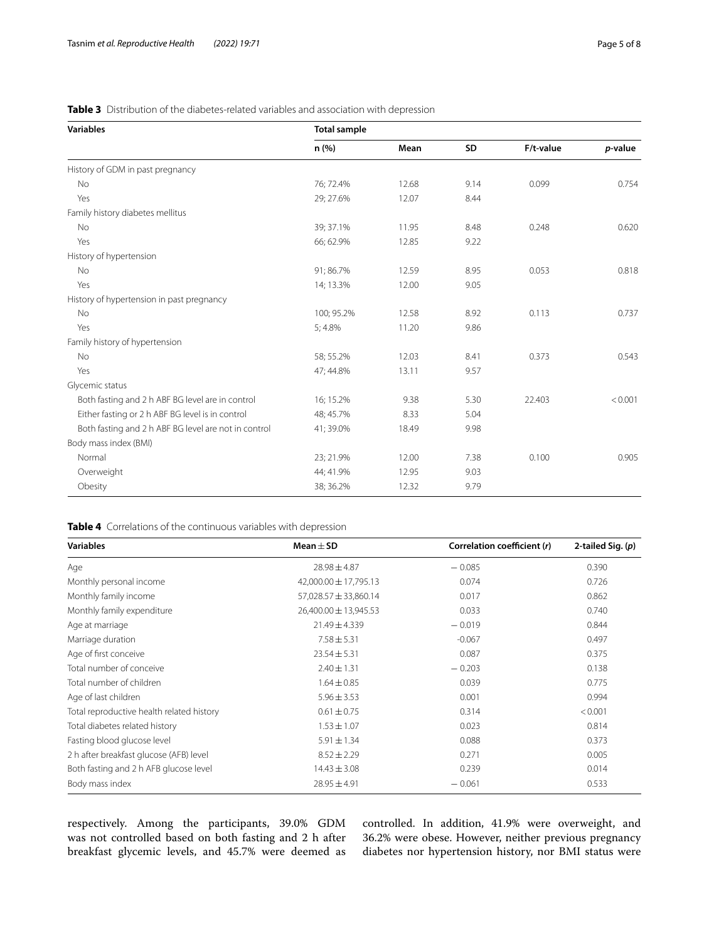## <span id="page-4-0"></span>**Table 3** Distribution of the diabetes-related variables and association with depression

| <b>Variables</b>                                     | <b>Total sample</b> |       |      |           |                 |  |
|------------------------------------------------------|---------------------|-------|------|-----------|-----------------|--|
|                                                      | n (%)               | Mean  | SD   | F/t-value | <i>p</i> -value |  |
| History of GDM in past pregnancy                     |                     |       |      |           |                 |  |
| No                                                   | 76; 72.4%           | 12.68 | 9.14 | 0.099     | 0.754           |  |
| Yes                                                  | 29; 27.6%           | 12.07 | 8.44 |           |                 |  |
| Family history diabetes mellitus                     |                     |       |      |           |                 |  |
| No                                                   | 39; 37.1%           | 11.95 | 8.48 | 0.248     | 0.620           |  |
| Yes                                                  | 66; 62.9%           | 12.85 | 9.22 |           |                 |  |
| History of hypertension                              |                     |       |      |           |                 |  |
| No                                                   | 91; 86.7%           | 12.59 | 8.95 | 0.053     | 0.818           |  |
| Yes                                                  | 14; 13.3%           | 12.00 | 9.05 |           |                 |  |
| History of hypertension in past pregnancy            |                     |       |      |           |                 |  |
| No                                                   | 100; 95.2%          | 12.58 | 8.92 | 0.113     | 0.737           |  |
| Yes                                                  | 5;4.8%              | 11.20 | 9.86 |           |                 |  |
| Family history of hypertension                       |                     |       |      |           |                 |  |
| <b>No</b>                                            | 58; 55.2%           | 12.03 | 8.41 | 0.373     | 0.543           |  |
| Yes                                                  | 47; 44.8%           | 13.11 | 9.57 |           |                 |  |
| Glycemic status                                      |                     |       |      |           |                 |  |
| Both fasting and 2 h ABF BG level are in control     | 16; 15.2%           | 9.38  | 5.30 | 22.403    | < 0.001         |  |
| Either fasting or 2 h ABF BG level is in control     | 48; 45.7%           | 8.33  | 5.04 |           |                 |  |
| Both fasting and 2 h ABF BG level are not in control | 41; 39.0%           | 18.49 | 9.98 |           |                 |  |
| Body mass index (BMI)                                |                     |       |      |           |                 |  |
| Normal                                               | 23; 21.9%           | 12.00 | 7.38 | 0.100     | 0.905           |  |
| Overweight                                           | 44; 41.9%           | 12.95 | 9.03 |           |                 |  |
| Obesity                                              | 38; 36.2%           | 12.32 | 9.79 |           |                 |  |

<span id="page-4-1"></span>**Table 4** Correlations of the continuous variables with depression

| <b>Variables</b>                          | Mean $\pm$ SD             | Correlation coefficient (r) | 2-tailed Sig. $(p)$ |
|-------------------------------------------|---------------------------|-----------------------------|---------------------|
| Age                                       | $28.98 \pm 4.87$          | $-0.085$                    | 0.390               |
| Monthly personal income                   | $42,000.00 \pm 17,795.13$ | 0.074                       | 0.726               |
| Monthly family income                     | 57,028.57 ± 33,860.14     | 0.017                       | 0.862               |
| Monthly family expenditure                | 26,400.00 ± 13,945.53     | 0.033                       | 0.740               |
| Age at marriage                           | $21.49 \pm 4.339$         | $-0.019$                    | 0.844               |
| Marriage duration                         | $7.58 \pm 5.31$           | $-0.067$                    | 0.497               |
| Age of first conceive                     | $23.54 \pm 5.31$          | 0.087                       | 0.375               |
| Total number of conceive                  | $2.40 \pm 1.31$           | $-0.203$                    | 0.138               |
| Total number of children                  | $1.64 \pm 0.85$           | 0.039                       | 0.775               |
| Age of last children                      | $5.96 \pm 3.53$           | 0.001                       | 0.994               |
| Total reproductive health related history | $0.61 \pm 0.75$           | 0.314                       | < 0.001             |
| Total diabetes related history            | $1.53 \pm 1.07$           | 0.023                       | 0.814               |
| Fasting blood glucose level               | $5.91 \pm 1.34$           | 0.088                       | 0.373               |
| 2 h after breakfast glucose (AFB) level   | $8.52 \pm 2.29$           | 0.271                       | 0.005               |
| Both fasting and 2 h AFB glucose level    | $14.43 \pm 3.08$          | 0.239                       | 0.014               |
| Body mass index                           | $28.95 \pm 4.91$          | $-0.061$                    | 0.533               |

respectively. Among the participants, 39.0% GDM was not controlled based on both fasting and 2 h after breakfast glycemic levels, and 45.7% were deemed as

controlled. In addition, 41.9% were overweight, and 36.2% were obese. However, neither previous pregnancy diabetes nor hypertension history, nor BMI status were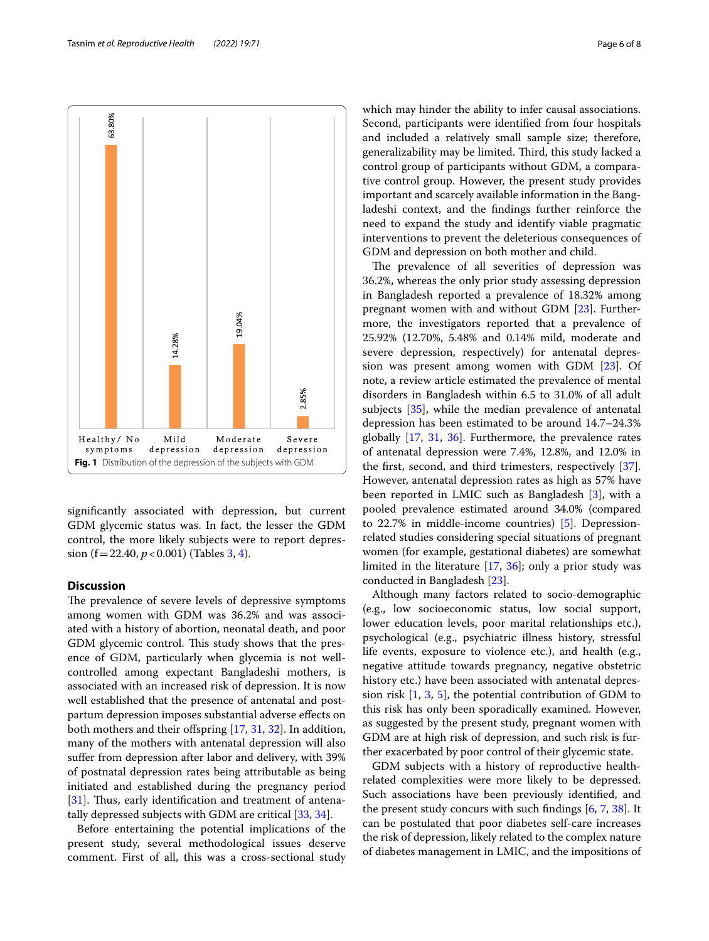

<span id="page-5-0"></span>signifcantly associated with depression, but current GDM glycemic status was. In fact, the lesser the GDM control, the more likely subjects were to report depression (f = 22.40,  $p < 0.001$ ) (Tables [3,](#page-4-0) [4](#page-4-1)).

#### **Discussion**

The prevalence of severe levels of depressive symptoms among women with GDM was 36.2% and was associated with a history of abortion, neonatal death, and poor GDM glycemic control. This study shows that the presence of GDM, particularly when glycemia is not wellcontrolled among expectant Bangladeshi mothers, is associated with an increased risk of depression. It is now well established that the presence of antenatal and postpartum depression imposes substantial adverse efects on both mothers and their offspring  $[17, 31, 32]$  $[17, 31, 32]$  $[17, 31, 32]$  $[17, 31, 32]$  $[17, 31, 32]$ . In addition, many of the mothers with antenatal depression will also sufer from depression after labor and delivery, with 39% of postnatal depression rates being attributable as being initiated and established during the pregnancy period [[31\]](#page-7-14). Thus, early identification and treatment of antenatally depressed subjects with GDM are critical [\[33,](#page-7-16) [34](#page-7-17)].

Before entertaining the potential implications of the present study, several methodological issues deserve comment. First of all, this was a cross-sectional study which may hinder the ability to infer causal associations. Second, participants were identifed from four hospitals and included a relatively small sample size; therefore, generalizability may be limited. Third, this study lacked a control group of participants without GDM, a comparative control group. However, the present study provides important and scarcely available information in the Bangladeshi context, and the fndings further reinforce the need to expand the study and identify viable pragmatic interventions to prevent the deleterious consequences of GDM and depression on both mother and child.

The prevalence of all severities of depression was 36.2%, whereas the only prior study assessing depression in Bangladesh reported a prevalence of 18.32% among pregnant women with and without GDM [[23](#page-7-6)]. Furthermore, the investigators reported that a prevalence of 25.92% (12.70%, 5.48% and 0.14% mild, moderate and severe depression, respectively) for antenatal depression was present among women with GDM [\[23](#page-7-6)]. Of note, a review article estimated the prevalence of mental disorders in Bangladesh within 6.5 to 31.0% of all adult subjects [[35\]](#page-7-18), while the median prevalence of antenatal depression has been estimated to be around 14.7–24.3% globally [[17,](#page-7-1) [31,](#page-7-14) [36\]](#page-7-19). Furthermore, the prevalence rates of antenatal depression were 7.4%, 12.8%, and 12.0% in the frst, second, and third trimesters, respectively [\[37](#page-7-20)]. However, antenatal depression rates as high as 57% have been reported in LMIC such as Bangladesh [[3\]](#page-6-2), with a pooled prevalence estimated around 34.0% (compared to 22.7% in middle-income countries) [\[5\]](#page-6-4). Depressionrelated studies considering special situations of pregnant women (for example, gestational diabetes) are somewhat limited in the literature [[17,](#page-7-1) [36](#page-7-19)]; only a prior study was conducted in Bangladesh [[23\]](#page-7-6).

Although many factors related to socio-demographic (e.g., low socioeconomic status, low social support, lower education levels, poor marital relationships etc.), psychological (e.g., psychiatric illness history, stressful life events, exposure to violence etc.), and health (e.g., negative attitude towards pregnancy, negative obstetric history etc.) have been associated with antenatal depression risk  $[1, 3, 5]$  $[1, 3, 5]$  $[1, 3, 5]$  $[1, 3, 5]$  $[1, 3, 5]$  $[1, 3, 5]$  $[1, 3, 5]$ , the potential contribution of GDM to this risk has only been sporadically examined. However, as suggested by the present study, pregnant women with GDM are at high risk of depression, and such risk is further exacerbated by poor control of their glycemic state.

GDM subjects with a history of reproductive healthrelated complexities were more likely to be depressed. Such associations have been previously identifed, and the present study concurs with such fndings [[6,](#page-6-13) [7](#page-6-5), [38](#page-7-21)]. It can be postulated that poor diabetes self-care increases the risk of depression, likely related to the complex nature of diabetes management in LMIC, and the impositions of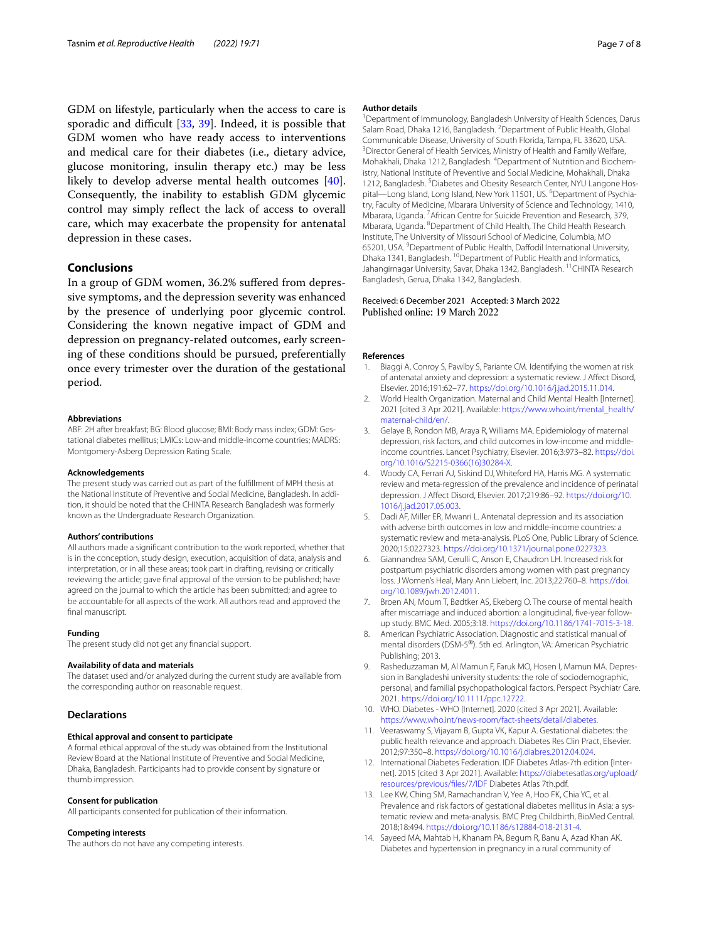GDM on lifestyle, particularly when the access to care is sporadic and difficult [\[33](#page-7-16), [39\]](#page-7-22). Indeed, it is possible that GDM women who have ready access to interventions and medical care for their diabetes (i.e., dietary advice, glucose monitoring, insulin therapy etc.) may be less likely to develop adverse mental health outcomes [\[40](#page-7-23)]. Consequently, the inability to establish GDM glycemic control may simply refect the lack of access to overall care, which may exacerbate the propensity for antenatal depression in these cases.

#### **Conclusions**

In a group of GDM women, 36.2% sufered from depressive symptoms, and the depression severity was enhanced by the presence of underlying poor glycemic control. Considering the known negative impact of GDM and depression on pregnancy-related outcomes, early screening of these conditions should be pursued, preferentially once every trimester over the duration of the gestational period.

#### **Abbreviations**

ABF: 2H after breakfast; BG: Blood glucose; BMI: Body mass index; GDM: Gestational diabetes mellitus; LMICs: Low-and middle-income countries; MADRS: Montgomery-Asberg Depression Rating Scale.

#### **Acknowledgements**

The present study was carried out as part of the fulfllment of MPH thesis at the National Institute of Preventive and Social Medicine, Bangladesh. In addition, it should be noted that the CHINTA Research Bangladesh was formerly known as the Undergraduate Research Organization.

#### **Authors' contributions**

All authors made a signifcant contribution to the work reported, whether that is in the conception, study design, execution, acquisition of data, analysis and interpretation, or in all these areas; took part in drafting, revising or critically reviewing the article; gave fnal approval of the version to be published; have agreed on the journal to which the article has been submitted; and agree to be accountable for all aspects of the work. All authors read and approved the final manuscript.

#### **Funding**

The present study did not get any fnancial support.

#### **Availability of data and materials**

The dataset used and/or analyzed during the current study are available from the corresponding author on reasonable request.

#### **Declarations**

#### **Ethical approval and consent to participate**

A formal ethical approval of the study was obtained from the Institutional Review Board at the National Institute of Preventive and Social Medicine, Dhaka, Bangladesh. Participants had to provide consent by signature or thumb impression.

#### **Consent for publication**

All participants consented for publication of their information.

#### **Competing interests**

The authors do not have any competing interests.

#### **Author details**

<sup>1</sup> Department of Immunology, Bangladesh University of Health Sciences, Darus Salam Road, Dhaka 1216, Bangladesh. <sup>2</sup> Department of Public Health, Global Communicable Disease, University of South Florida, Tampa, FL 33620, USA. <sup>3</sup> Director General of Health Services, Ministry of Health and Family Welfare, Mohakhali, Dhaka 1212, Bangladesh. <sup>4</sup> Department of Nutrition and Biochemistry, National Institute of Preventive and Social Medicine, Mohakhali, Dhaka 1212, Bangladesh. <sup>5</sup> Diabetes and Obesity Research Center, NYU Langone Hospital—Long Island, Long Island, New York 11501, US. <sup>6</sup>Department of Psychiatry, Faculty of Medicine, Mbarara University of Science and Technology, 1410, Mbarara, Uganda.<sup>7</sup> African Centre for Suicide Prevention and Research, 379, Mbarara, Uganda. <sup>8</sup> Department of Child Health, The Child Health Research Institute, The University of Missouri School of Medicine, Columbia, MO 65201, USA. <sup>9</sup> Department of Public Health, Daffodil International University, Dhaka 1341, Bangladesh. <sup>10</sup>Department of Public Health and Informatics, Jahangirnagar University, Savar, Dhaka 1342, Bangladesh. <sup>11</sup>CHINTA Research Bangladesh, Gerua, Dhaka 1342, Bangladesh.

## Received: 6 December 2021 Accepted: 3 March 2022

#### **References**

- <span id="page-6-0"></span>1. Biaggi A, Conroy S, Pawlby S, Pariante CM. Identifying the women at risk of antenatal anxiety and depression: a systematic review. J Afect Disord, Elsevier. 2016;191:62–77. [https://doi.org/10.1016/j.jad.2015.11.014.](https://doi.org/10.1016/j.jad.2015.11.014)
- <span id="page-6-1"></span>2. World Health Organization. Maternal and Child Mental Health [Internet]. 2021 [cited 3 Apr 2021]. Available: [https://www.who.int/mental\\_health/](https://www.who.int/mental_health/maternal-child/en/) [maternal-child/en/](https://www.who.int/mental_health/maternal-child/en/).
- <span id="page-6-2"></span>3. Gelaye B, Rondon MB, Araya R, Williams MA. Epidemiology of maternal depression, risk factors, and child outcomes in low-income and middleincome countries. Lancet Psychiatry, Elsevier. 2016;3:973–82. [https://doi.](https://doi.org/10.1016/S2215-0366(16)30284-X) [org/10.1016/S2215-0366\(16\)30284-X](https://doi.org/10.1016/S2215-0366(16)30284-X).
- <span id="page-6-3"></span>4. Woody CA, Ferrari AJ, Siskind DJ, Whiteford HA, Harris MG. A systematic review and meta-regression of the prevalence and incidence of perinatal depression. J Afect Disord, Elsevier. 2017;219:86–92. [https://doi.org/10.](https://doi.org/10.1016/j.jad.2017.05.003) [1016/j.jad.2017.05.003.](https://doi.org/10.1016/j.jad.2017.05.003)
- <span id="page-6-4"></span>5. Dadi AF, Miller ER, Mwanri L. Antenatal depression and its association with adverse birth outcomes in low and middle-income countries: a systematic review and meta-analysis. PLoS One, Public Library of Science. 2020;15:0227323. <https://doi.org/10.1371/journal.pone.0227323>.
- <span id="page-6-13"></span>6. Giannandrea SAM, Cerulli C, Anson E, Chaudron LH. Increased risk for postpartum psychiatric disorders among women with past pregnancy loss. J Women's Heal, Mary Ann Liebert, Inc. 2013;22:760–8. [https://doi.](https://doi.org/10.1089/jwh.2012.4011) [org/10.1089/jwh.2012.4011](https://doi.org/10.1089/jwh.2012.4011).
- <span id="page-6-5"></span>7. Broen AN, Moum T, Bødtker AS, Ekeberg O. The course of mental health after miscarriage and induced abortion: a longitudinal, fve-year followup study. BMC Med. 2005;3:18. [https://doi.org/10.1186/1741-7015-3-18.](https://doi.org/10.1186/1741-7015-3-18)
- <span id="page-6-6"></span>8. American Psychiatric Association. Diagnostic and statistical manual of mental disorders (DSM-5®). 5th ed. Arlington, VA: American Psychiatric Publishing; 2013.
- <span id="page-6-7"></span>9. Rasheduzzaman M, Al Mamun F, Faruk MO, Hosen I, Mamun MA. Depression in Bangladeshi university students: the role of sociodemographic, personal, and familial psychopathological factors. Perspect Psychiatr Care. 2021.<https://doi.org/10.1111/ppc.12722>.
- <span id="page-6-8"></span>10. WHO. Diabetes - WHO [Internet]. 2020 [cited 3 Apr 2021]. Available: <https://www.who.int/news-room/fact-sheets/detail/diabetes>.
- <span id="page-6-9"></span>11. Veeraswamy S, Vijayam B, Gupta VK, Kapur A. Gestational diabetes: the public health relevance and approach. Diabetes Res Clin Pract, Elsevier. 2012;97:350–8. [https://doi.org/10.1016/j.diabres.2012.04.024.](https://doi.org/10.1016/j.diabres.2012.04.024)
- <span id="page-6-10"></span>12. International Diabetes Federation. IDF Diabetes Atlas-7th edition [Internet]. 2015 [cited 3 Apr 2021]. Available: [https://diabetesatlas.org/upload/](https://diabetesatlas.org/upload/resources/previous/files/7/IDF) [resources/previous/fles/7/IDF](https://diabetesatlas.org/upload/resources/previous/files/7/IDF) Diabetes Atlas 7th.pdf.
- <span id="page-6-11"></span>13. Lee KW, Ching SM, Ramachandran V, Yee A, Hoo FK, Chia YC, et al. Prevalence and risk factors of gestational diabetes mellitus in Asia: a systematic review and meta-analysis. BMC Preg Childbirth, BioMed Central. 2018;18:494.<https://doi.org/10.1186/s12884-018-2131-4>.
- <span id="page-6-12"></span>14. Sayeed MA, Mahtab H, Khanam PA, Begum R, Banu A, Azad Khan AK. Diabetes and hypertension in pregnancy in a rural community of